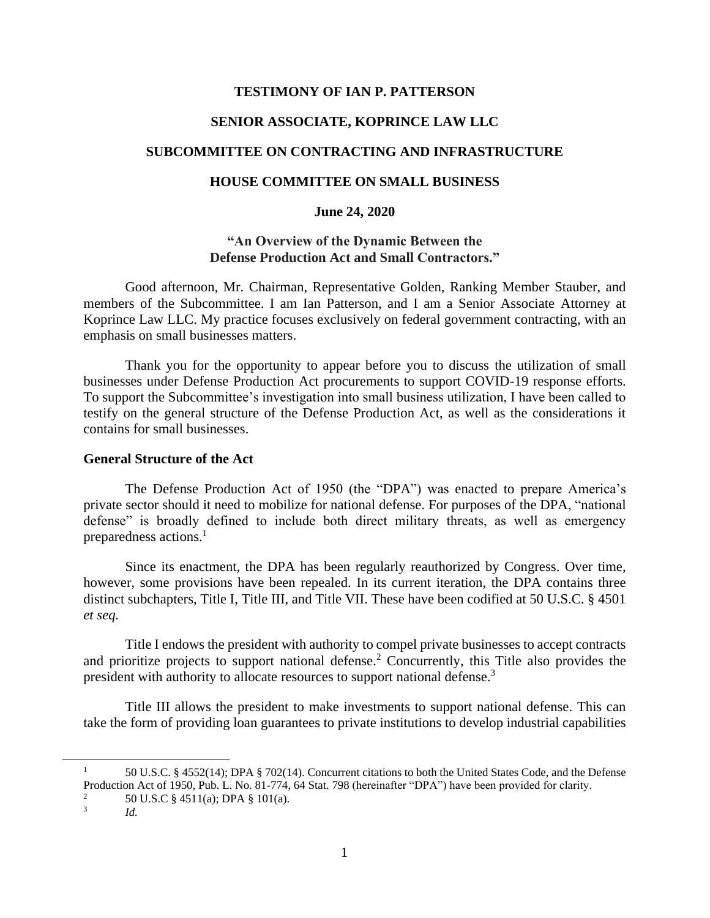### **TESTIMONY OF IAN P. PATTERSON**

# **SENIOR ASSOCIATE, KOPRINCE LAW LLC**

## **SUBCOMMITTEE ON CONTRACTING AND INFRASTRUCTURE**

## **HOUSE COMMITTEE ON SMALL BUSINESS**

### **June 24, 2020**

## **"An Overview of the Dynamic Between the Defense Production Act and Small Contractors."**

Good afternoon, Mr. Chairman, Representative Golden, Ranking Member Stauber, and members of the Subcommittee. I am Ian Patterson, and I am a Senior Associate Attorney at Koprince Law LLC. My practice focuses exclusively on federal government contracting, with an emphasis on small businesses matters.

Thank you for the opportunity to appear before you to discuss the utilization of small businesses under Defense Production Act procurements to support COVID-19 response efforts. To support the Subcommittee's investigation into small business utilization, I have been called to testify on the general structure of the Defense Production Act, as well as the considerations it contains for small businesses.

## **General Structure of the Act**

The Defense Production Act of 1950 (the "DPA") was enacted to prepare America's private sector should it need to mobilize for national defense. For purposes of the DPA, "national defense" is broadly defined to include both direct military threats, as well as emergency preparedness actions.<sup>1</sup>

Since its enactment, the DPA has been regularly reauthorized by Congress. Over time, however, some provisions have been repealed. In its current iteration, the DPA contains three distinct subchapters, Title I, Title III, and Title VII. These have been codified at 50 U.S.C. § 4501 *et seq.*

Title I endows the president with authority to compel private businesses to accept contracts and prioritize projects to support national defense.<sup>2</sup> Concurrently, this Title also provides the president with authority to allocate resources to support national defense.<sup>3</sup>

Title III allows the president to make investments to support national defense. This can take the form of providing loan guarantees to private institutions to develop industrial capabilities

<sup>&</sup>lt;sup>1</sup> 50 U.S.C. § 4552(14); DPA § 702(14). Concurrent citations to both the United States Code, and the Defense Production Act of 1950, Pub. L. No. 81-774, 64 Stat. 798 (hereinafter "DPA") have been provided for clarity. <sup>2</sup> 50 U.S.C § 4511(a); DPA § 101(a).

<sup>3</sup> *Id.*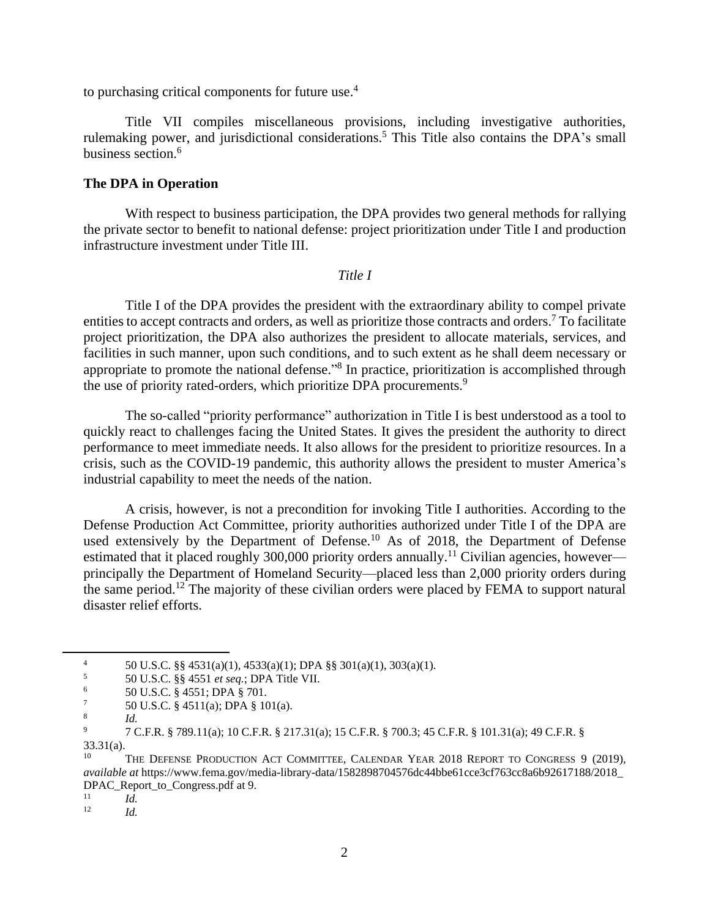to purchasing critical components for future use.<sup>4</sup>

Title VII compiles miscellaneous provisions, including investigative authorities, rulemaking power, and jurisdictional considerations.<sup>5</sup> This Title also contains the DPA's small business section.<sup>6</sup>

## **The DPA in Operation**

With respect to business participation, the DPA provides two general methods for rallying the private sector to benefit to national defense: project prioritization under Title I and production infrastructure investment under Title III.

#### *Title I*

Title I of the DPA provides the president with the extraordinary ability to compel private entities to accept contracts and orders, as well as prioritize those contracts and orders.<sup>7</sup> To facilitate project prioritization, the DPA also authorizes the president to allocate materials, services, and facilities in such manner, upon such conditions, and to such extent as he shall deem necessary or appropriate to promote the national defense."<sup>8</sup> In practice, prioritization is accomplished through the use of priority rated-orders, which prioritize DPA procurements.<sup>9</sup>

The so-called "priority performance" authorization in Title I is best understood as a tool to quickly react to challenges facing the United States. It gives the president the authority to direct performance to meet immediate needs. It also allows for the president to prioritize resources. In a crisis, such as the COVID-19 pandemic, this authority allows the president to muster America's industrial capability to meet the needs of the nation.

A crisis, however, is not a precondition for invoking Title I authorities. According to the Defense Production Act Committee, priority authorities authorized under Title I of the DPA are used extensively by the Department of Defense.<sup>10</sup> As of 2018, the Department of Defense estimated that it placed roughly 300,000 priority orders annually.<sup>11</sup> Civilian agencies, however principally the Department of Homeland Security—placed less than 2,000 priority orders during the same period.<sup>12</sup> The majority of these civilian orders were placed by FEMA to support natural disaster relief efforts.

4 50 U.S.C.  $\S\S 4531(a)(1)$ ,  $4533(a)(1)$ ; DPA  $\S \S 301(a)(1)$ ,  $303(a)(1)$ .<br>5 50 U.S.C.  $\S 84551$  et seq.: DPA Title VII

 $\frac{11}{12}$  *Id.* 

 $^{5}$  50 U.S.C. §§ 4551 *et seq.*; DPA Title VII.

<sup>&</sup>lt;sup>6</sup> 50 U.S.C. § 4551; DPA § 701.

<sup>7</sup> 50 U.S.C. § 4511(a); DPA § 101(a).

<sup>8</sup> *Id.*

<sup>9</sup> 7 C.F.R. § 789.11(a); 10 C.F.R. § 217.31(a); 15 C.F.R. § 700.3; 45 C.F.R. § 101.31(a); 49 C.F.R. § 33.31(a).

THE DEFENSE PRODUCTION ACT COMMITTEE, CALENDAR YEAR 2018 REPORT TO CONGRESS 9 (2019), *available at* https://www.fema.gov/media-library-data/1582898704576dc44bbe61cce3cf763cc8a6b92617188/2018\_ DPAC\_Report\_to\_Congress.pdf at 9.

<sup>12</sup> *Id.*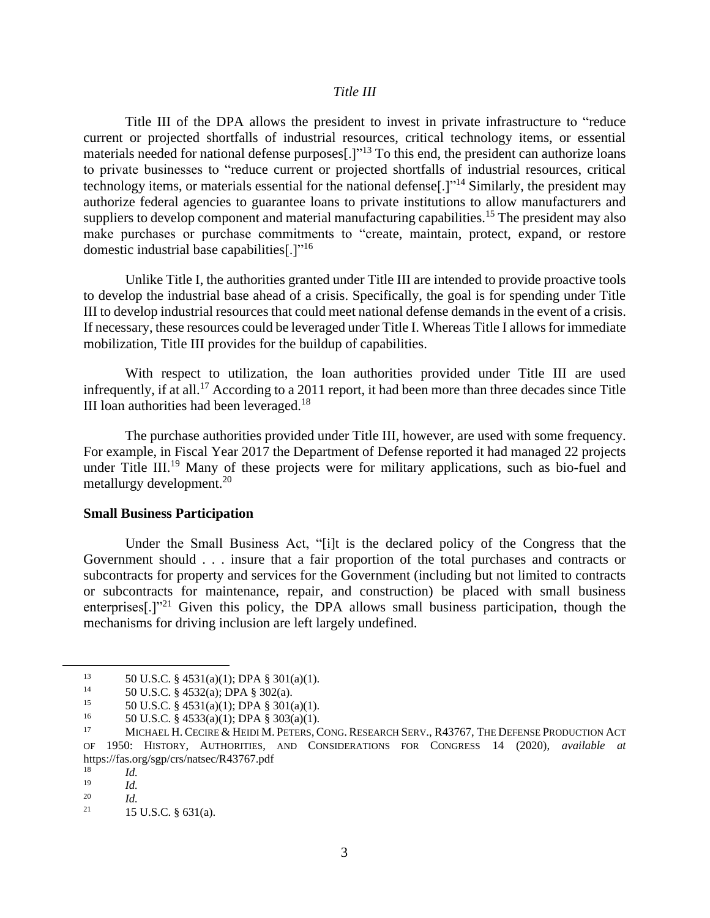### *Title III*

Title III of the DPA allows the president to invest in private infrastructure to "reduce current or projected shortfalls of industrial resources, critical technology items, or essential materials needed for national defense purposes[.]"<sup>13</sup> To this end, the president can authorize loans to private businesses to "reduce current or projected shortfalls of industrial resources, critical technology items, or materials essential for the national defense<sup>[1]"14</sup> Similarly, the president may authorize federal agencies to guarantee loans to private institutions to allow manufacturers and suppliers to develop component and material manufacturing capabilities.<sup>15</sup> The president may also make purchases or purchase commitments to "create, maintain, protect, expand, or restore domestic industrial base capabilities[.]"<sup>16</sup>

Unlike Title I, the authorities granted under Title III are intended to provide proactive tools to develop the industrial base ahead of a crisis. Specifically, the goal is for spending under Title III to develop industrial resources that could meet national defense demands in the event of a crisis. If necessary, these resources could be leveraged under Title I. Whereas Title I allows for immediate mobilization, Title III provides for the buildup of capabilities.

With respect to utilization, the loan authorities provided under Title III are used infrequently, if at all.<sup>17</sup> According to a 2011 report, it had been more than three decades since Title III loan authorities had been leveraged.<sup>18</sup>

The purchase authorities provided under Title III, however, are used with some frequency. For example, in Fiscal Year 2017 the Department of Defense reported it had managed 22 projects under Title III.<sup>19</sup> Many of these projects were for military applications, such as bio-fuel and metallurgy development.<sup>20</sup>

#### **Small Business Participation**

Under the Small Business Act, "[i]t is the declared policy of the Congress that the Government should . . . insure that a fair proportion of the total purchases and contracts or subcontracts for property and services for the Government (including but not limited to contracts or subcontracts for maintenance, repair, and construction) be placed with small business enterprises<sup>[1]</sup><sup>21</sup> Given this policy, the DPA allows small business participation, though the mechanisms for driving inclusion are left largely undefined.

<sup>&</sup>lt;sup>13</sup> 50 U.S.C. § 4531(a)(1); DPA § 301(a)(1).<br><sup>14</sup> 50 U.S.C. § 4532(a); DRA § 202(a)

<sup>&</sup>lt;sup>14</sup> 50 U.S.C. § 4532(a); DPA § 302(a).<br><sup>15</sup> 50 U.S.C. § 4531(a)(1); DRA § 301(4)

<sup>&</sup>lt;sup>15</sup> 50 U.S.C. § 4531(a)(1); DPA § 301(a)(1).<br><sup>16</sup> 50 U.S.C. § 4532(a)(1); DPA § 303(a)(1)

<sup>&</sup>lt;sup>16</sup> 50 U.S.C. § 4533(a)(1); DPA § 303(a)(1).<br><sup>17</sup> MIGUAEL H CEGUE & HEIDLA PETER 6

<sup>17</sup> MICHAEL H. CECIRE & HEIDI M. PETERS, CONG. RESEARCH SERV., R43767, THE DEFENSE PRODUCTION ACT OF 1950: HISTORY, AUTHORITIES, AND CONSIDERATIONS FOR CONGRESS 14 (2020), *available at* https://fas.org/sgp/crs/natsec/R43767.pdf

 $\frac{18}{19}$  *Id.* 

 $\frac{19}{20}$  *Id.* 

 $\frac{20}{21}$  *Id.* 

<sup>21</sup> 15 U.S.C. § 631(a).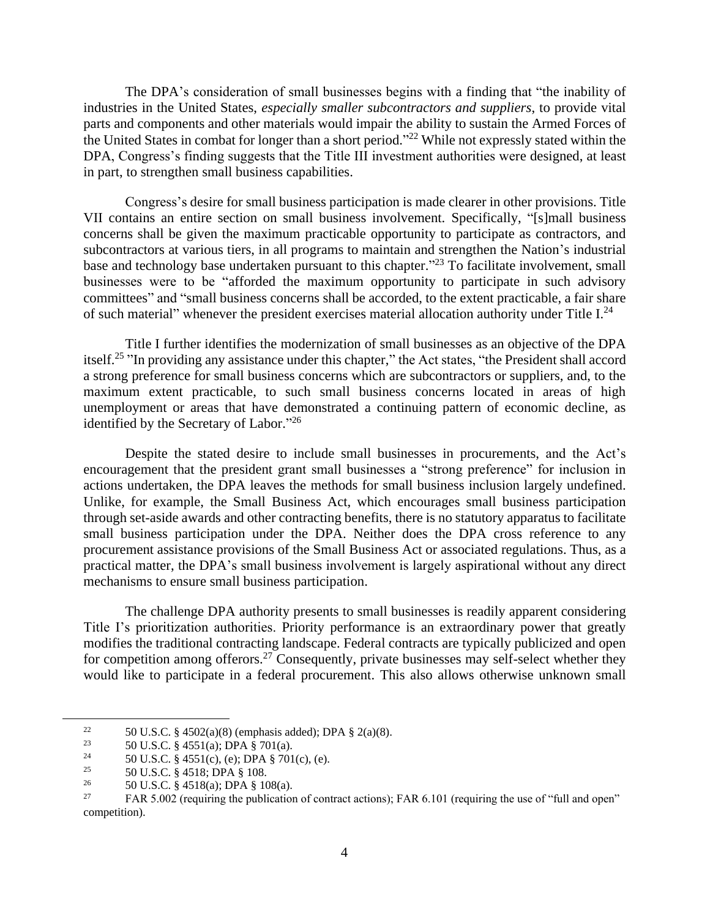The DPA's consideration of small businesses begins with a finding that "the inability of industries in the United States, *especially smaller subcontractors and suppliers*, to provide vital parts and components and other materials would impair the ability to sustain the Armed Forces of the United States in combat for longer than a short period."<sup>22</sup> While not expressly stated within the DPA, Congress's finding suggests that the Title III investment authorities were designed, at least in part, to strengthen small business capabilities.

Congress's desire for small business participation is made clearer in other provisions. Title VII contains an entire section on small business involvement. Specifically, "[s]mall business concerns shall be given the maximum practicable opportunity to participate as contractors, and subcontractors at various tiers, in all programs to maintain and strengthen the Nation's industrial base and technology base undertaken pursuant to this chapter."<sup>23</sup> To facilitate involvement, small businesses were to be "afforded the maximum opportunity to participate in such advisory committees" and "small business concerns shall be accorded, to the extent practicable, a fair share of such material" whenever the president exercises material allocation authority under Title  $I^{24}$ .

Title I further identifies the modernization of small businesses as an objective of the DPA itself.<sup>25</sup> "In providing any assistance under this chapter," the Act states, "the President shall accord a strong preference for small business concerns which are subcontractors or suppliers, and, to the maximum extent practicable, to such small business concerns located in areas of high unemployment or areas that have demonstrated a continuing pattern of economic decline, as identified by the Secretary of Labor."<sup>26</sup>

Despite the stated desire to include small businesses in procurements, and the Act's encouragement that the president grant small businesses a "strong preference" for inclusion in actions undertaken, the DPA leaves the methods for small business inclusion largely undefined. Unlike, for example, the Small Business Act, which encourages small business participation through set-aside awards and other contracting benefits, there is no statutory apparatus to facilitate small business participation under the DPA. Neither does the DPA cross reference to any procurement assistance provisions of the Small Business Act or associated regulations. Thus, as a practical matter, the DPA's small business involvement is largely aspirational without any direct mechanisms to ensure small business participation.

The challenge DPA authority presents to small businesses is readily apparent considering Title I's prioritization authorities. Priority performance is an extraordinary power that greatly modifies the traditional contracting landscape. Federal contracts are typically publicized and open for competition among offerors.<sup>27</sup> Consequently, private businesses may self-select whether they would like to participate in a federal procurement. This also allows otherwise unknown small

<sup>&</sup>lt;sup>22</sup> 50 U.S.C. § 4502(a)(8) (emphasis added); DPA § 2(a)(8).<br><sup>23</sup> 50 U.S.C. § 4551(a); DPA § 701(a)

<sup>&</sup>lt;sup>23</sup> 50 U.S.C. § 4551(a); DPA § 701(a).<br><sup>24</sup> 50 U.S.C. § 4551(a), (a); DPA § 701

<sup>&</sup>lt;sup>24</sup> 50 U.S.C. § 4551(c), (e); DPA § 701(c), (e).<br><sup>25</sup>

<sup>&</sup>lt;sup>25</sup> 50 U.S.C. § 4518; DPA § 108.<br><sup>26</sup> 50 U.S.C. § 4518(a): DPA § 10

<sup>&</sup>lt;sup>26</sup> 50 U.S.C. § 4518(a); DPA § 108(a).<br><sup>27</sup> EAR 5.002 (requiring the publication

FAR 5.002 (requiring the publication of contract actions); FAR 6.101 (requiring the use of "full and open" competition).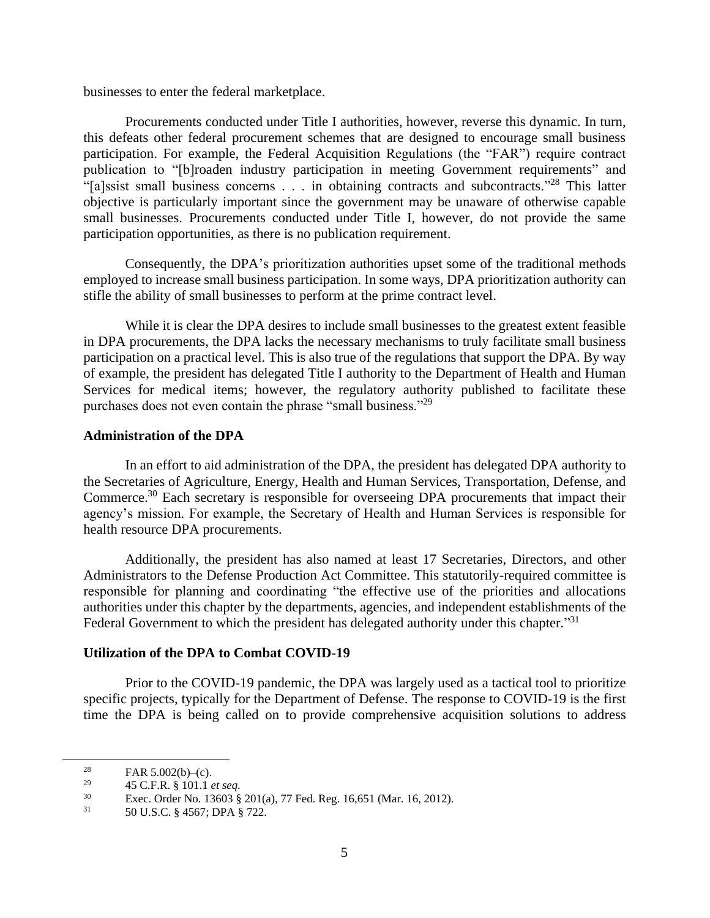businesses to enter the federal marketplace.

Procurements conducted under Title I authorities, however, reverse this dynamic. In turn, this defeats other federal procurement schemes that are designed to encourage small business participation. For example, the Federal Acquisition Regulations (the "FAR") require contract publication to "[b]roaden industry participation in meeting Government requirements" and "[a]ssist small business concerns . . . in obtaining contracts and subcontracts."<sup>28</sup> This latter objective is particularly important since the government may be unaware of otherwise capable small businesses. Procurements conducted under Title I, however, do not provide the same participation opportunities, as there is no publication requirement.

Consequently, the DPA's prioritization authorities upset some of the traditional methods employed to increase small business participation. In some ways, DPA prioritization authority can stifle the ability of small businesses to perform at the prime contract level.

While it is clear the DPA desires to include small businesses to the greatest extent feasible in DPA procurements, the DPA lacks the necessary mechanisms to truly facilitate small business participation on a practical level. This is also true of the regulations that support the DPA. By way of example, the president has delegated Title I authority to the Department of Health and Human Services for medical items; however, the regulatory authority published to facilitate these purchases does not even contain the phrase "small business."<sup>29</sup>

### **Administration of the DPA**

In an effort to aid administration of the DPA, the president has delegated DPA authority to the Secretaries of Agriculture, Energy, Health and Human Services, Transportation, Defense, and Commerce.<sup>30</sup> Each secretary is responsible for overseeing DPA procurements that impact their agency's mission. For example, the Secretary of Health and Human Services is responsible for health resource DPA procurements.

Additionally, the president has also named at least 17 Secretaries, Directors, and other Administrators to the Defense Production Act Committee. This statutorily-required committee is responsible for planning and coordinating "the effective use of the priorities and allocations authorities under this chapter by the departments, agencies, and independent establishments of the Federal Government to which the president has delegated authority under this chapter."<sup>31</sup>

#### **Utilization of the DPA to Combat COVID-19**

Prior to the COVID-19 pandemic, the DPA was largely used as a tactical tool to prioritize specific projects, typically for the Department of Defense. The response to COVID-19 is the first time the DPA is being called on to provide comprehensive acquisition solutions to address

<sup>&</sup>lt;sup>28</sup> FAR 5.002(b)–(c).<br><sup>29</sup> 45 C E B <sup>8</sup> 101 1.

<sup>29</sup> 45 C.F.R. § 101.1 *et seq.*

<sup>&</sup>lt;sup>30</sup> Exec. Order No. 13603 § 201(a), 77 Fed. Reg. 16,651 (Mar. 16, 2012).

<sup>31</sup> 50 U.S.C. § 4567; DPA § 722.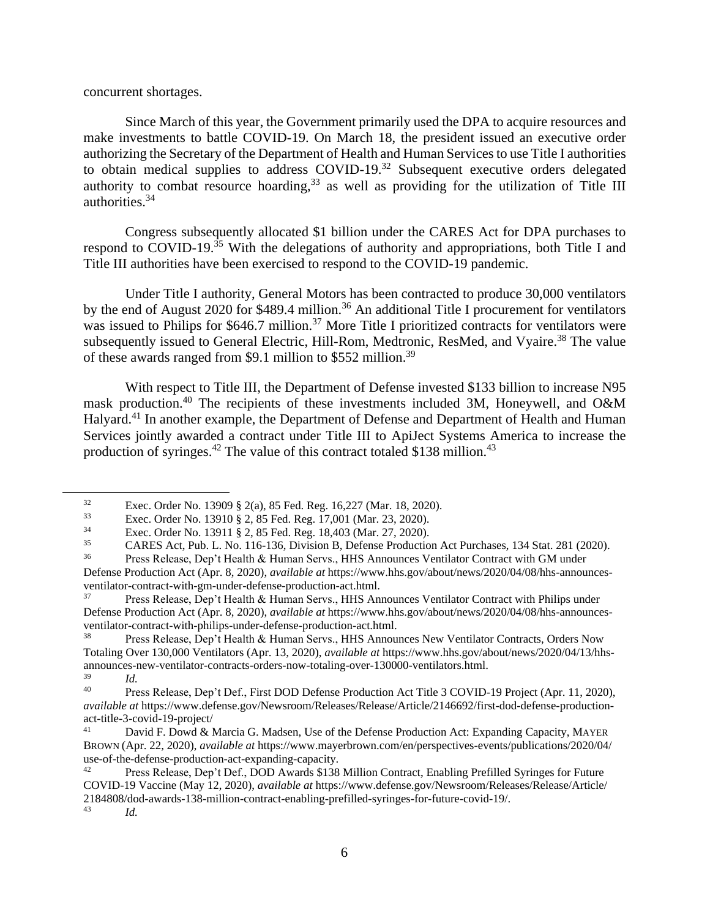concurrent shortages.

Since March of this year, the Government primarily used the DPA to acquire resources and make investments to battle COVID-19. On March 18, the president issued an executive order authorizing the Secretary of the Department of Health and Human Services to use Title I authorities to obtain medical supplies to address COVID-19.<sup>32</sup> Subsequent executive orders delegated authority to combat resource hoarding,  $33$  as well as providing for the utilization of Title III authorities.<sup>34</sup>

Congress subsequently allocated \$1 billion under the CARES Act for DPA purchases to respond to COVID-19.<sup>35</sup> With the delegations of authority and appropriations, both Title I and Title III authorities have been exercised to respond to the COVID-19 pandemic.

Under Title I authority, General Motors has been contracted to produce 30,000 ventilators by the end of August 2020 for \$489.4 million.<sup>36</sup> An additional Title I procurement for ventilators was issued to Philips for \$646.7 million.<sup>37</sup> More Title I prioritized contracts for ventilators were subsequently issued to General Electric, Hill-Rom, Medtronic, ResMed, and Vyaire.<sup>38</sup> The value of these awards ranged from \$9.1 million to \$552 million.<sup>39</sup>

With respect to Title III, the Department of Defense invested \$133 billion to increase N95 mask production.<sup>40</sup> The recipients of these investments included 3M, Honeywell, and O&M Halyard.<sup>41</sup> In another example, the Department of Defense and Department of Health and Human Services jointly awarded a contract under Title III to ApiJect Systems America to increase the production of syringes.<sup>42</sup> The value of this contract totaled \$138 million.<sup>43</sup>

Press Release, Dep't Health & Human Servs., HHS Announces Ventilator Contract with GM under

<sup>32</sup> Exec. Order No. 13909 § 2(a), 85 Fed. Reg. 16,227 (Mar. 18, 2020).<br>
Fyec. Order No. 13910 8.2. 85 Fed. Reg. 17,001 (Mar. 23, 2020).

<sup>33</sup> Exec. Order No. 13910 § 2, 85 Fed. Reg. 17,001 (Mar. 23, 2020).

<sup>&</sup>lt;sup>34</sup> Exec. Order No. 13911 § 2, 85 Fed. Reg. 18,403 (Mar. 27, 2020).<br> **EARLY** Act Dub J. No. 116,126 Division B. Defense Production

<sup>&</sup>lt;sup>35</sup> CARES Act, Pub. L. No. 116-136, Division B, Defense Production Act Purchases, 134 Stat. 281 (2020).<br><sup>36</sup> Press Release, Den't Health & Human Servs, HHS Announces Ventilator Contract with GM under

Defense Production Act (Apr. 8, 2020), *available at* https://www.hhs.gov/about/news/2020/04/08/hhs-announcesventilator-contract-with-gm-under-defense-production-act.html.

<sup>37</sup> Press Release, Dep't Health & Human Servs., HHS Announces Ventilator Contract with Philips under Defense Production Act (Apr. 8, 2020), *available at* https://www.hhs.gov/about/news/2020/04/08/hhs-announcesventilator-contract-with-philips-under-defense-production-act.html.

<sup>38</sup> Press Release, Dep't Health & Human Servs., HHS Announces New Ventilator Contracts, Orders Now Totaling Over 130,000 Ventilators (Apr. 13, 2020), *available at* https://www.hhs.gov/about/news/2020/04/13/hhsannounces-new-ventilator-contracts-orders-now-totaling-over-130000-ventilators.html.

 $\frac{39}{40}$  *Id.* Press Release, Dep't Def., First DOD Defense Production Act Title 3 COVID-19 Project (Apr. 11, 2020), *available at* https://www.defense.gov/Newsroom/Releases/Release/Article/2146692/first-dod-defense-productionact-title-3-covid-19-project/

<sup>&</sup>lt;sup>41</sup> David F. Dowd & Marcia G. Madsen, Use of the Defense Production Act: Expanding Capacity, MAYER BROWN (Apr. 22, 2020), *available at* https://www.mayerbrown.com/en/perspectives-events/publications/2020/04/ use-of-the-defense-production-act-expanding-capacity.<br><sup>42</sup> Press Polacea Dav<sup>2</sup>t Def. DOD Awards \$128.

<sup>42</sup> Press Release, Dep't Def., DOD Awards \$138 Million Contract, Enabling Prefilled Syringes for Future COVID-19 Vaccine (May 12, 2020), *available at* https://www.defense.gov/Newsroom/Releases/Release/Article/ 2184808/dod-awards-138-million-contract-enabling-prefilled-syringes-for-future-covid-19/.

*Id.*